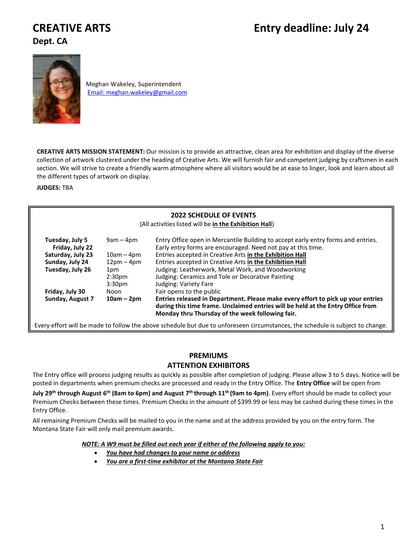# **Dept. CA**



Meghan Wakeley, Superintendent [Email: meghan.wakeley@gmail.com](mailto:Email:%20meghan.wakeley@gmail.com)

**CREATIVE ARTS MISSION STATEMENT:** Our mission is to provide an attractive, clean area for exhibition and display of the diverse collection of artwork clustered under the heading of Creative Arts. We will furnish fair and competent judging by craftsmen in each section. We will strive to create a friendly warm atmosphere where all visitors would be at ease to linger, look and learn about all the different types of artwork on display.

**JUDGES:** TBA

## **2022 SCHEDULE OF EVENTS**

(All activitieslisted will be **in the Exhibition Hall**)

| Tuesday, July 5<br>Friday, July 22 | $9am - 4pm$        | Entry Office open in Mercantile Building to accept early entry forms and entries.<br>Early entry forms are encouraged. Need not pay at this time.                                                                       |
|------------------------------------|--------------------|-------------------------------------------------------------------------------------------------------------------------------------------------------------------------------------------------------------------------|
| Saturday, July 23                  | $10am - 4pm$       | Entries accepted in Creative Arts in the Exhibition Hall                                                                                                                                                                |
| Sunday, July 24                    | $12pm-4pm$         | Entries accepted in Creative Arts in the Exhibition Hall                                                                                                                                                                |
| Tuesday, July 26                   | 1pm                | Judging: Leatherwork, Metal Work, and Woodworking                                                                                                                                                                       |
|                                    | 2:30 <sub>pm</sub> | Judging: Ceramics and Tole or Decorative Painting                                                                                                                                                                       |
|                                    | 3:30 <sub>pm</sub> | Judging: Variety Fare                                                                                                                                                                                                   |
| Friday, July 30                    | Noon               | Fair opens to the public                                                                                                                                                                                                |
| Sunday, August 7                   | $10am - 2pm$       | Entries released in Department. Please make every effort to pick up your entries<br>during this time frame. Unclaimed entries will be held at the Entry Office from<br>Monday thru Thursday of the week following fair. |

Every effort will be made to follow the above schedule but due to unforeseen circumstances, the schedule is subject to change.

## **PREMIUMS**

# **ATTENTION EXHIBITORS**

The Entry office will process judging results as quickly as possible after completion of judging. Please allow 3 to 5 days. Notice will be posted in departments when premium checks are processed and ready in the Entry Office. The **Entry Office** will be open from

**July 29th through August 6 th (8am to 6pm) and August 7 th through 11 th (9am to 4pm)**. Every effort should be made to collect your Premium Checks between these times. Premium Checks in the amount of \$399.99 or less may be cashed during these times in the Entry Office.

All remaining Premium Checks will be mailed to you in the name and at the address provided by you on the entry form. The Montana State Fair will only mail premium awards.

*NOTE: A W9 must be filled out each year if either of the following apply to you:*

- *You have had changes to your name or address*
- *You are a first-time exhibitor at the Montana State Fair*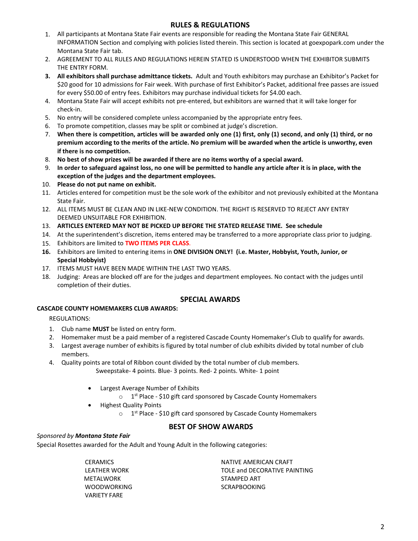# **RULES & REGULATIONS**

- 1. All participants at Montana State Fair events are responsible for reading the Montana State Fair GENERAL INFORMATION Section and complying with policies listed therein. This section is located at goexpopark.com under the Montana State Fair tab.
- 2. AGREEMENT TO ALL RULES AND REGULATIONS HEREIN STATED IS UNDERSTOOD WHEN THE EXHIBITOR SUBMITS THE ENTRY FORM.
- **3. All exhibitors shall purchase admittance tickets.** Adult and Youth exhibitors may purchase an Exhibitor's Packet for \$20 good for 10 admissions for Fair week. With purchase of first Exhibitor's Packet, additional free passes are issued for every \$50.00 of entry fees. Exhibitors may purchase individual tickets for \$4.00 each.
- 4. Montana State Fair will accept exhibits not pre-entered, but exhibitors are warned that it will take longer for check-in.
- 5. No entry will be considered complete unless accompanied by the appropriate entry fees.
- 6. To promote competition, classes may be split or combined at judge's discretion.
- 7. **When there is competition, articles will be awarded only one (1) first, only (1) second, and only (1) third, or no premium according to the merits of the article. No premium will be awarded when the article is unworthy, even if there is no competition.**
- 8. **No best of show prizes will be awarded if there are no items worthy of a special award.**
- 9. **In order to safeguard against loss, no one will be permitted to handle any article after it is in place, with the exception of the judges and the department employees.**
- 10. **Please do not put name on exhibit.**
- 11. Articles entered for competition must be the sole work of the exhibitor and not previously exhibited at the Montana State Fair.
- 12. ALL ITEMS MUST BE CLEAN AND IN LIKE-NEW CONDITION. THE RIGHT IS RESERVED TO REJECT ANY ENTRY DEEMED UNSUITABLE FOR EXHIBITION.
- 13. **ARTICLES ENTERED MAY NOT BE PICKED UP BEFORE THE STATED RELEASE TIME. See schedule**
- 14. At the superintendent's discretion, items entered may be transferred to a more appropriate class prior to judging.
- 15. Exhibitors are limited to **TWO ITEMS PER CLASS**.
- **16.** Exhibitors are limited to entering items in **ONE DIVISION ONLY! (i.e. Master, Hobbyist, Youth, Junior, or Special Hobbyist)**
- 17. ITEMS MUST HAVE BEEN MADE WITHIN THE LAST TWO YEARS.
- 18. Judging: Areas are blocked off are for the judges and department employees. No contact with the judges until completion of their duties.

## **SPECIAL AWARDS**

## **CASCADE COUNTY HOMEMAKERS CLUB AWARDS:**

REGULATIONS:

- 1. Club name **MUST** be listed on entry form.
- 2. Homemaker must be a paid member of a registered Cascade County Homemaker's Club to qualify for awards.
- 3. Largest average number of exhibits is figured by total number of club exhibits divided by total number of club members.
- 4. Quality points are total of Ribbon count divided by the total number of club members. Sweepstake- 4 points. Blue- 3 points. Red- 2 points. White- 1 point
	- Largest Average Number of Exhibits
		- $\circ$  1<sup>st</sup> Place \$10 gift card sponsored by Cascade County Homemakers
	- Highest Quality Points
		- $\circ$  1<sup>st</sup> Place \$10 gift card sponsored by Cascade County Homemakers

## **BEST OF SHOW AWARDS**

## *Sponsored by Montana State Fair*

Special Rosettes awarded for the Adult and Young Adult in the following categories:

**CERAMICS** LEATHER WORK **MFTAI WORK WOODWORKING** VARIETY FARE

NATIVE AMERICAN CRAFT TOLE and DECORATIVE PAINTING STAMPED ART **SCRAPBOOKING**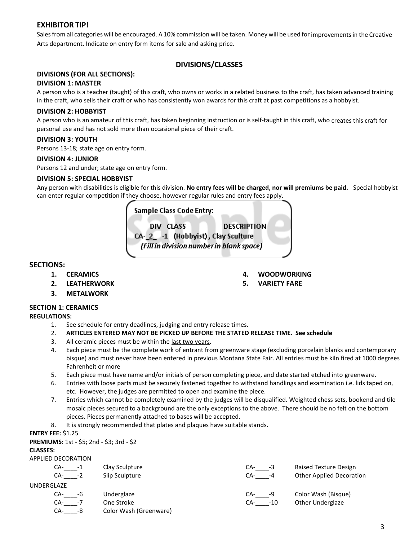# **EXHIBITOR TIP!**

Sales from all categories will be encouraged. A 10% commission will be taken. Money will be used for improvements in the Creative Arts department. Indicate on entry form items for sale and asking price.

## **DIVISIONS/CLASSES**

## **DIVISIONS (FOR ALL SECTIONS):**

## **DIVISION 1: MASTER**

A person who is a teacher (taught) of this craft, who owns or works in a related business to the craft, has taken advanced training in the craft, who sells their craft or who has consistently won awards for this craft at past competitions as a hobbyist.

## **DIVISION 2: HOBBYIST**

A person who is an amateur of this craft, has taken beginning instruction or is self-taught in this craft, who creates this craft for personal use and has not sold more than occasional piece of their craft.

## **DIVISION 3: YOUTH**

Persons 13-18; state age on entry form.

## **DIVISION 4: JUNIOR**

Persons 12 and under; state age on entry form.

## **DIVISION 5: SPECIAL HOBBYIST**

Any person with disabilities is eligible for this division. **No entry fees will be charged, nor will premiums be paid.** Special hobbyist can enter regular competition if they choose, however regular rules and entry fees apply.

## Sample Class Code Entry:

DIV CLASS **DESCRIPTION** CA-2 -1 (Hobbyist), Clay Sculture (Fill in division number in blank space)

## **SECTIONS:**

- **1. CERAMICS**
- **2. LEATHERWORK**
- **3. METALWORK**

## **SECTION 1: CERAMICS**

## **REGULATIONS:**

- 1. See schedule for entry deadlines, judging and entry release times.
- 2. **ARTICLES ENTERED MAY NOT BE PICKED UP BEFORE THE STATED RELEASE TIME. See schedule**
- 3. All ceramic pieces must be within the last two years.
- 4. Each piece must be the complete work of entrant from greenware stage (excluding porcelain blanks and contemporary bisque) and must never have been entered in previous Montana State Fair. All entries must be kiln fired at 1000 degrees Fahrenheit or more
- 5. Each piece must have name and/or initials of person completing piece, and date started etched into greenware.
- 6. Entries with loose parts must be securely fastened together to withstand handlings and examination i.e. lids taped on, etc. However, the judges are permitted to open and examine the piece.
- 7. Entries which cannot be completely examined by the judges will be disqualified. Weighted chess sets, bookend and tile mosaic pieces secured to a background are the only exceptions to the above. There should be no felt on the bottom pieces. Pieces permanently attached to bases will be accepted.

8. It is strongly recommended that plates and plaques have suitable stands.

## **ENTRY FEE:** \$1.25

**PREMIUMS:** 1st - \$5; 2nd - \$3; 3rd - \$2

## **CLASSES:**

## APPLIED DECORATION

| CA-<br>CA- | $-1$<br>$-2$ | Clay Sculpture<br>Slip Sculpture | CA-<br>-3<br>CA-<br>-4 | Raised Texture Design<br><b>Other Applied Decoration</b> |
|------------|--------------|----------------------------------|------------------------|----------------------------------------------------------|
| UNDERGLAZE |              |                                  |                        |                                                          |
| CA-        | -6           | Underglaze                       | CA-<br>-9              | Color Wash (Bisque)                                      |
| CA-        | -7           | One Stroke                       | $-10$<br>CA-           | Other Underglaze                                         |
| CA-        | -8           | Color Wash (Greenware)           |                        |                                                          |

- **4. WOODWORKING**
- **5. VARIETY FARE**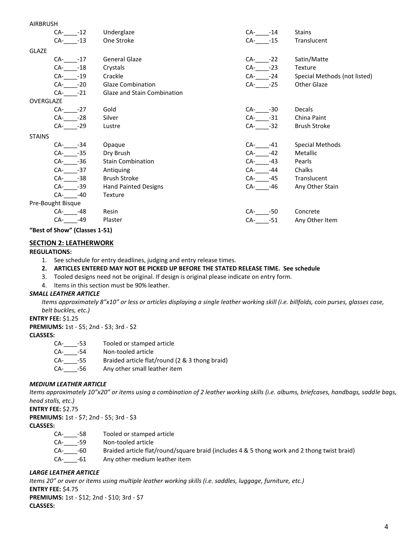| <b>AIRBRUSH</b> |                   |                             |              |                              |
|-----------------|-------------------|-----------------------------|--------------|------------------------------|
|                 | $CA-12$           | Underglaze                  | $CA-14$      | <b>Stains</b>                |
|                 | $CA - 13$         | One Stroke                  | CA- -15      | Translucent                  |
| <b>GLAZE</b>    |                   |                             |              |                              |
|                 | $CA - 17$         | <b>General Glaze</b>        | $CA-22$      | Satin/Matte                  |
|                 | CA-<br>$-18$      | Crystals                    | $CA-23$      | Texture                      |
|                 | CA-<br>$-19$      | Crackle                     | CA- -24      | Special Methods (not listed) |
|                 | CA- -20           | Glaze Combination           | CA- -25      | Other Glaze                  |
|                 | $CA - 21$         | Glaze and Stain Combination |              |                              |
| OVERGLAZE       |                   |                             |              |                              |
|                 | $CA-27$           | Gold                        | $CA-30$      | <b>Decals</b>                |
|                 | $CA$ -<br>$-28$   | Silver                      | $CA-31$      | China Paint                  |
|                 | CA- -29           | Lustre                      | $CA-32$      | <b>Brush Stroke</b>          |
| <b>STAINS</b>   |                   |                             |              |                              |
|                 | $CA - 34$         | Opaque                      | CA- -41      | Special Methods              |
|                 | $CA-35$           | Dry Brush                   | $-42$<br>CA- | <b>Metallic</b>              |
|                 | $CA-36$           | <b>Stain Combination</b>    | $-43$<br>CA- | Pearls                       |
|                 | CA- -37           | Antiquing                   | CA-<br>-44   | Chalks                       |
|                 | $CA-38$           | <b>Brush Stroke</b>         | -45<br>CA-   | Translucent                  |
|                 | CA-<br>$-39$      | <b>Hand Painted Designs</b> | CA-<br>-46   | Any Other Stain              |
|                 | CA-<br>$-40$      | Texture                     |              |                              |
|                 | Pre-Bought Bisque |                             |              |                              |
|                 | $CA$ -<br>-48     | Resin                       | $CA-$<br>-50 | Concrete                     |
|                 | CA-<br>-49        | Plaster                     | $CA-51$      | Any Other Item               |
|                 |                   |                             |              |                              |

**"Best of Show" (Classes 1-51)**

## **SECTION 2: LEATHERWORK**

## **REGULATIONS:**

- 1. See schedule for entry deadlines, judging and entry release times.
- **2. ARTICLES ENTERED MAY NOT BE PICKED UP BEFORE THE STATED RELEASE TIME. See schedule**
- 3. Tooled designs need not be original. If design is original please indicate on entry form.
- 4. Items in this section must be 90% leather.

## *SMALL LEATHER ARTICLE*

*Items approximately 8"x10" or less or articles displaying a single leather working skill (i.e. billfolds, coin purses, glasses case, belt buckles, etc.)*

## **ENTRY FEE:** \$1.25

**PREMIUMS:** 1st - \$5; 2nd - \$3; 3rd - \$2

## **CLASSES:**

| -CA    | -53 | Tooled or stamped article |
|--------|-----|---------------------------|
| $\sim$ |     |                           |

- CA-\_\_\_\_-54 Non-tooled article
- CA-\_\_\_\_-55 Braided article flat/round (2 & 3 thong braid)
- CA-\_\_\_\_-56 Any other small leather item

## *MEDIUM LEATHER ARTICLE*

*Items approximately 10"x20" or items using a combination of 2 leather working skills (i.e. albums, briefcases, handbags, saddle bags, head stalls, etc.)*

**ENTRY FEE:** \$2.75

**PREMIUMS:** 1st - \$7; 2nd - \$5; 3rd - \$3

**CLASSES:**

CA-\_\_\_\_-58 Tooled or stamped article CA-\_\_\_\_-59 Non-tooled article CA-\_\_\_\_-60 Braided article flat/round/square braid (includes 4 & 5 thong work and 2 thong twist braid) CA-\_\_\_\_-61 Any other medium leather item

## *LARGE LEATHER ARTICLE*

*Items 20" or over or items using multiple leather working skills (i.e. saddles, luggage, furniture, etc.)* **ENTRY FEE:** \$4.75 **PREMIUMS:** 1st - \$12; 2nd - \$10; 3rd - \$7 **CLASSES:**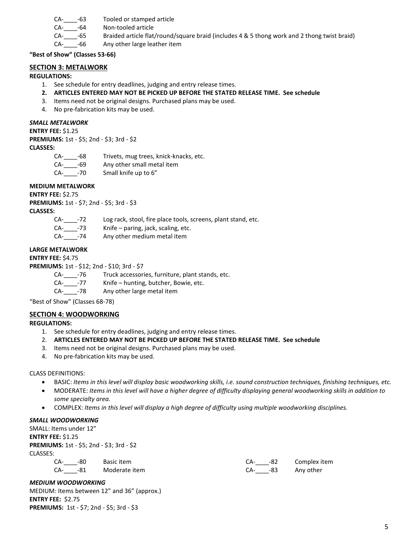| CA-<br>-63 | Tooled or stamped article |  |
|------------|---------------------------|--|
|------------|---------------------------|--|

CA-\_\_\_\_-64 Non-tooled article

CA-\_\_\_\_-65 Braided article flat/round/square braid (includes 4 & 5 thong work and 2 thong twist braid)

CA- -66 Any other large leather item

**"Best of Show" (Classes 53-66)**

## **SECTION 3: METALWORK**

## **REGULATIONS:**

- 1. See schedule for entry deadlines, judging and entry release times.
- **2. ARTICLES ENTERED MAY NOT BE PICKED UP BEFORE THE STATED RELEASE TIME. See schedule**
- 3. Items need not be original designs. Purchased plans may be used.
- 4. No pre-fabrication kits may be used.

## *SMALL METALWORK*

**ENTRY FEE:** \$1.25 **PREMIUMS:** 1st - \$5; 2nd - \$3; 3rd - \$2 **CLASSES:**

- CA-\_\_\_\_-68 Trivets, mug trees, knick-knacks, etc.
- CA- -69 Any other small metal item
- CA- -70 Small knife up to 6"

## **MEDIUM METALWORK**

**ENTRY FEE:** \$2.75 **PREMIUMS:** 1st - \$7; 2nd - \$5; 3rd - \$3

## **CLASSES:**

| CA- | $-72$   | Log rack, stool, fire place tools, screens, plant stand, etc. |
|-----|---------|---------------------------------------------------------------|
|     | CA- -73 | Knife – paring, jack, scaling, etc.                           |
| CA- | -74     | Any other medium metal item                                   |

## **LARGE METALWORK**

**ENTRY FEE:** \$4.75

**PREMIUMS:** 1st - \$12; 2nd - \$10; 3rd - \$7

CA-\_\_\_\_-76 Truck accessories, furniture, plant stands, etc.

- CA-\_\_\_\_-77 Knife hunting, butcher, Bowie, etc.
- CA-\_\_\_\_-78 Any other large metal item

"Best of Show" (Classes 68-78)

## **SECTION 4: WOODWORKING**

## **REGULATIONS:**

- 1. See schedule for entry deadlines, judging and entry release times.
- 2. **ARTICLES ENTERED MAY NOT BE PICKED UP BEFORE THE STATED RELEASE TIME. See schedule**
- 3. Items need not be original designs. Purchased plans may be used.
- 4. No pre-fabrication kits may be used.

## CLASS DEFINITIONS:

- BASIC: *Items in this level will display basic woodworking skills, i.e. sound construction techniques, finishing techniques, etc.*
- MODERATE: *Items in this level will have a higher degree of difficulty displaying general woodworking skills in addition to some specialty area.*
- COMPLEX: *Items in this level will display a high degree of difficulty using multiple woodworking disciplines.*

## *SMALL WOODWORKING*

SMALL: Items under 12" **ENTRY FEE:** \$1.25 **PREMIUMS:** 1st - \$5; 2nd - \$3; 3rd - \$2 CLASSES:

|  | CA- -80 Basic item    |  | CA- -82 Complex item |
|--|-----------------------|--|----------------------|
|  | CA- -81 Moderate item |  | CA- -83 Any other    |

## *MEDIUM WOODWORKING*

MEDIUM: Items between 12" and 36" (approx.) **ENTRY FEE:** \$2.75 **PREMIUMS:** 1st - \$7; 2nd - \$5; 3rd - \$3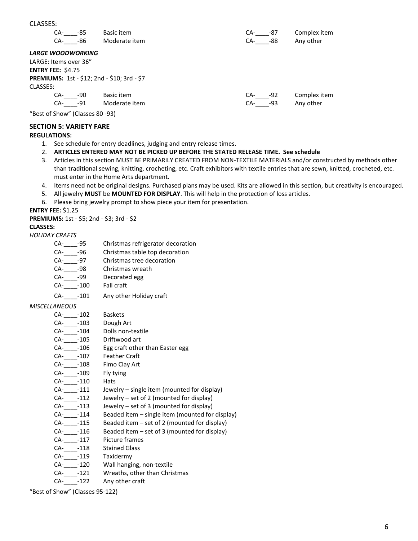| CLASSES:                 |     |                                             |            |              |
|--------------------------|-----|---------------------------------------------|------------|--------------|
| CA-                      | -85 | Basic item                                  | CA-<br>-87 | Complex item |
| CA- -86                  |     | Moderate item                               | CA- -88    | Any other    |
| <b>LARGE WOODWORKING</b> |     |                                             |            |              |
| LARGE: Items over 36"    |     |                                             |            |              |
| <b>ENTRY FEE: \$4.75</b> |     |                                             |            |              |
|                          |     | PREMIUMS: 1st - \$12; 2nd - \$10; 3rd - \$7 |            |              |
| CLASSES:                 |     |                                             |            |              |
| CA-                      | -90 | Basic item                                  | CA-<br>-92 | Complex item |
| CA-                      | -91 | Moderate item                               | CA-<br>-93 | Any other    |

"Best of Show" (Classes 80 -93)

## **SECTION 5: VARIETY FARE**

## **REGULATIONS:**

- 1. See schedule for entry deadlines, judging and entry release times.
- 2. **ARTICLES ENTERED MAY NOT BE PICKED UP BEFORE THE STATED RELEASE TIME. See schedule**
- 3. Articles in this section MUST BE PRIMARILY CREATED FROM NON-TEXTILE MATERIALS and/or constructed by methods other than traditional sewing, knitting, crocheting, etc. Craft exhibitors with textile entries that are sewn, knitted, crocheted, etc. must enter in the Home Arts department.
- 4. Items need not be original designs. Purchased plans may be used. Kits are allowed in this section, but creativity is encouraged.
- 5. All jewelry **MUST** be **MOUNTED FOR DISPLAY**. This will help in the protection of loss articles.
- 6. Please bring jewelry prompt to show piece your item for presentation.

**ENTRY FEE:** \$1.25

**PREMIUMS:** 1st - \$5; 2nd - \$3; 3rd - \$2

#### **CLASSES:**

#### *HOLIDAY CRAFTS*

- CA-\_\_\_\_\_-95 Christmas refrigerator decoration<br>CA-\_\_\_\_\_-96 Christmas table top decoration
- Christmas table top decoration
- CA-\_\_\_\_-97 Christmas tree decoration
- CA-\_\_\_\_-98 Christmas wreath
- CA-\_\_\_\_-99 Decorated egg
- CA-\_\_\_\_-100 Fall craft
- CA-\_\_\_\_-101 Any other Holiday craft

## *MISCELLANEOUS*

- CA-\_\_\_\_-102 Baskets
- 
- CA-\_\_\_\_\_-103 Dough Art<br>CA-\_\_\_\_\_-104 Dolls non-t Dolls non-textile
- CA-\_\_\_\_-105 Driftwood art
- CA- -106 Egg craft other than Easter egg
- CA-<sub>-107</sub> Feather Craft
- CA-\_\_\_\_-108 Fimo Clay Art
- CA- -109 Fly tying
- CA-\_\_\_\_-110 Hats
- CA-\_\_\_\_-111 Jewelry single item (mounted for display)
- CA-\_\_\_\_-112 Jewelry set of 2 (mounted for display)
- $CA$   $-113$  Jewelry set of 3 (mounted for display)
- CA-\_\_\_\_-114 Beaded item single item (mounted for display)
- CA-\_\_\_\_-115 Beaded item set of 2 (mounted for display)
- CA-\_\_\_\_-116 Beaded item set of 3 (mounted for display)
- CA-\_\_\_\_-117 Picture frames
- CA-\_\_\_\_-118 Stained Glass
- CA-\_\_\_\_\_-119 Taxidermy<br>CA-\_\_\_\_\_-120 Wall hangir
- Wall hanging, non-textile
- CA-\_\_\_\_-121 Wreaths, other than Christmas
- CA-\_\_\_\_-122 Any other craft

"Best of Show" (Classes 95-122)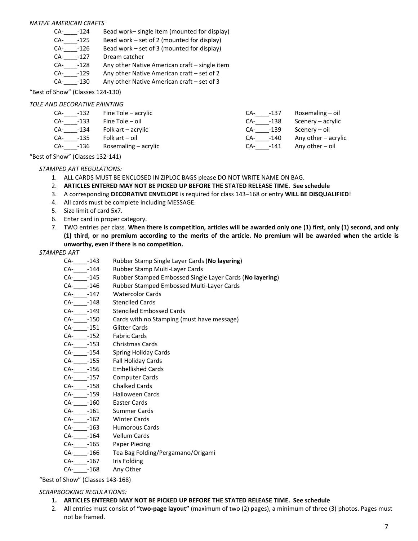## *NATIVE AMERICAN CRAFTS*

- CA-\_\_\_\_-124 Bead work– single item (mounted for display)
- CA-\_\_\_\_-125 Bead work set of 2 (mounted for display)
- $CA$   $-126$  Bead work set of 3 (mounted for display)
- CA-\_\_\_\_-127 Dream catcher
- CA-\_\_\_\_-128 Any other Native American craft single item
- CA-\_\_\_\_-129 Any other Native American craft set of 2
- CA-\_\_\_\_-130 Any other Native American craft set of 3

# "Best of Show" (Classes 124-130)

# *TOLE AND DECORATIVE PAINTING*

| CA- -132 | Fine Tole – acrylic  | CA- -137 | Rosemaling – oil    |
|----------|----------------------|----------|---------------------|
| CA- -133 | Fine Tole – oil      | CA- -138 | Scenery – acrylic   |
| CA- -134 | Folk art – acrylic   | CA- -139 | Scenery – oil       |
| CA- -135 | Folk art – oil       | CA- -140 | Any other – acrylic |
| CA- -136 | Rosemaling – acrylic | CA- -141 | Any other $-$ oil   |
|          |                      |          |                     |

"Best of Show" (Classes 132-141)

# *STAMPED ART REGULATIONS:*

- 1. ALL CARDS MUST BE ENCLOSED IN ZIPLOC BAGS please DO NOT WRITE NAME ON BAG.
- 2. **ARTICLES ENTERED MAY NOT BE PICKED UP BEFORE THE STATED RELEASE TIME. See schedule**
- 3. A corresponding **DECORATIVE ENVELOPE** is required for class 143–168 or entry **WILL BE DISQUALIFIED**!
- 4. All cards must be complete including MESSAGE.
- 5. Size limit of card 5x7.
- 6. Enter card in proper category.
- 7. TWO entries per class. **When there is competition, articles will be awarded only one (1) first, only (1) second, and only (1) third, or no premium according to the merits of the article. No premium will be awarded when the article is unworthy, even if there is no competition.**

## *STAMPED ART*

- CA-\_\_\_\_-143 Rubber Stamp Single Layer Cards (**No layering**)
- CA-\_\_\_\_-144 Rubber Stamp Multi-Layer Cards
- CA-\_\_\_\_-145 Rubber Stamped Embossed Single Layer Cards (**No layering**)
- CA-\_\_\_\_-146 Rubber Stamped Embossed Multi-Layer Cards
- CA- -147 Watercolor Cards
- CA-\_\_\_\_-148 Stenciled Cards
- CA-\_\_\_\_-149 Stenciled Embossed Cards
- CA-\_\_\_\_-150 Cards with no Stamping (must have message)
- CA-\_\_\_\_-151 Glitter Cards
- CA-\_\_\_\_\_-152 Fabric Cards<br>CA-\_\_\_\_\_-153 Christmas Ca
- 
- CA-\_\_\_\_\_-153 Christmas Cards<br>CA-\_\_\_\_\_-154 Spring Holiday C Spring Holiday Cards
- CA-\_\_\_\_-155 Fall Holiday Cards
- CA-\_\_\_\_-156 Embellished Cards
- CA- -157 Computer Cards
- CA-\_\_\_\_-158 Chalked Cards
- CA-\_\_\_\_-159 Halloween Cards
- CA-\_\_\_\_-160 Easter Cards
- CA-\_\_\_\_-161 Summer Cards
- CA-\_\_\_\_-162 Winter Cards
- CA- -163 Humorous Cards
- CA-\_\_\_\_-164 Vellum Cards
- CA-\_\_\_\_-165 Paper Piecing
- CA-\_\_\_\_-166 Tea Bag Folding/Pergamano/Origami
- CA-\_\_\_\_\_-167 Iris Folding
- CA- -168 Any Other

"Best of Show" (Classes 143-168)

## *SCRAPBOOKING REGULATIONS:*

- **1. ARTICLES ENTERED MAY NOT BE PICKED UP BEFORE THE STATED RELEASE TIME. See schedule**
- 2. All entries must consist of **"two-page layout"** (maximum of two (2) pages), a minimum of three (3) photos. Pages must not be framed.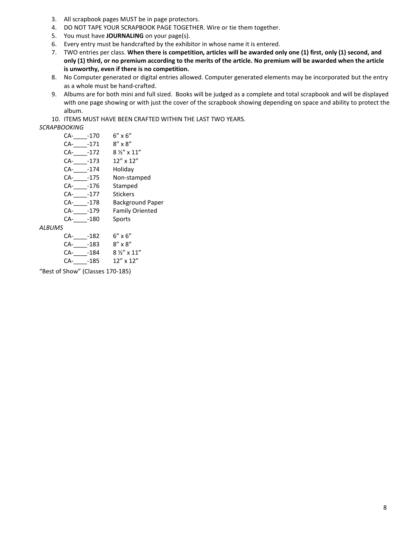- 3. All scrapbook pages MUST be in page protectors.
- 4. DO NOT TAPE YOUR SCRAPBOOK PAGE TOGETHER. Wire or tie them together.
- 5. You must have **JOURNALING** on your page(s).
- 6. Every entry must be handcrafted by the exhibitor in whose name it is entered.
- 7. TWO entries per class. **When there is competition, articles will be awarded only one (1) first, only (1) second, and only (1) third, or no premium according to the merits of the article. No premium will be awarded when the article is unworthy, even if there is no competition.**
- 8. No Computer generated or digital entries allowed. Computer generated elements may be incorporated but the entry as a whole must be hand-crafted.
- 9. Albums are for both mini and full sized. Books will be judged as a complete and total scrapbook and will be displayed with one page showing or with just the cover of the scrapbook showing depending on space and ability to protect the album.
- 10. ITEMS MUST HAVE BEEN CRAFTED WITHIN THE LAST TWO YEARS.

## *SCRAPBOOKING*

| CA- | $-170$ | $6'' \times 6''$        |
|-----|--------|-------------------------|
| CA- | $-171$ | $8'' \times 8''$        |
| CA- | $-172$ | $8\frac{1}{3}$ x 11"    |
| CA- | -173   | $12''$ x $12''$         |
| CA- | $-174$ | Holiday                 |
| CA- | -175   | Non-stamped             |
| CA- | -176   | Stamped                 |
| CA- | $-177$ | Stickers                |
| CA- | -178   | <b>Background Paper</b> |
| CA- | $-179$ | <b>Family Oriented</b>  |
| CA- | -180   | Sports                  |
| 7   |        |                         |
| CA- | -182   | 6" x 6"                 |
| ົ^  | ר הי   | ດ" … ດ"                 |

## *ALBUMS*

- CA-\_\_\_\_\_-183 8" x 8"
- CA-\_\_\_\_\_-184 8 ½" x 11" CA-\_\_\_\_-185 12" x 12"

"Best of Show" (Classes 170-185)